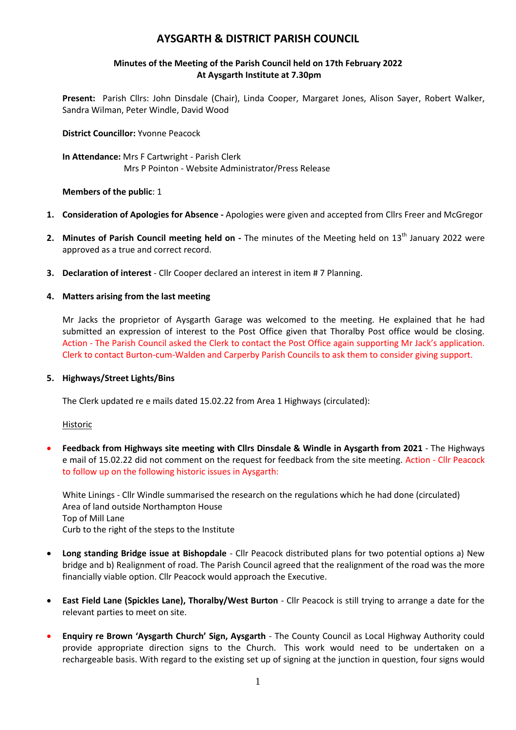# **AYSGARTH & DISTRICT PARISH COUNCIL**

## **Minutes of the Meeting of the Parish Council held on 17th February 2022 At Aysgarth Institute at 7.30pm**

**Present:** Parish Cllrs: John Dinsdale (Chair), Linda Cooper, Margaret Jones, Alison Sayer, Robert Walker, Sandra Wilman, Peter Windle, David Wood

**District Councillor:** Yvonne Peacock

**In Attendance:** Mrs F Cartwright - Parish Clerk Mrs P Pointon - Website Administrator/Press Release

**Members of the public**: 1

- **1. Consideration of Apologies for Absence -** Apologies were given and accepted from Cllrs Freer and McGregor
- **2.** Minutes of Parish Council meeting held on The minutes of the Meeting held on 13<sup>th</sup> January 2022 were approved as a true and correct record.
- **3. Declaration of interest** Cllr Cooper declared an interest in item # 7 Planning.
- **4. Matters arising from the last meeting**

Mr Jacks the proprietor of Aysgarth Garage was welcomed to the meeting. He explained that he had submitted an expression of interest to the Post Office given that Thoralby Post office would be closing. Action - The Parish Council asked the Clerk to contact the Post Office again supporting Mr Jack's application. Clerk to contact Burton-cum-Walden and Carperby Parish Councils to ask them to consider giving support.

### **5. Highways/Street Lights/Bins**

The Clerk updated re e mails dated 15.02.22 from Area 1 Highways (circulated):

Historic

 **Feedback from Highways site meeting with Cllrs Dinsdale & Windle in Aysgarth from 2021** - The Highways e mail of 15.02.22 did not comment on the request for feedback from the site meeting. Action - Cllr Peacock to follow up on the following historic issues in Aysgarth:

White Linings - Cllr Windle summarised the research on the regulations which he had done (circulated) Area of land outside Northampton House Top of Mill Lane Curb to the right of the steps to the Institute

- **Long standing Bridge issue at Bishopdale** Cllr Peacock distributed plans for two potential options a) New bridge and b) Realignment of road. The Parish Council agreed that the realignment of the road was the more financially viable option. Cllr Peacock would approach the Executive.
- **East Field Lane (Spickles Lane), Thoralby/West Burton** Cllr Peacock is still trying to arrange a date for the relevant parties to meet on site.
- **Enquiry re Brown 'Aysgarth Church' Sign, Aysgarth** The County Council as Local Highway Authority could provide appropriate direction signs to the Church. This work would need to be undertaken on a rechargeable basis. With regard to the existing set up of signing at the junction in question, four signs would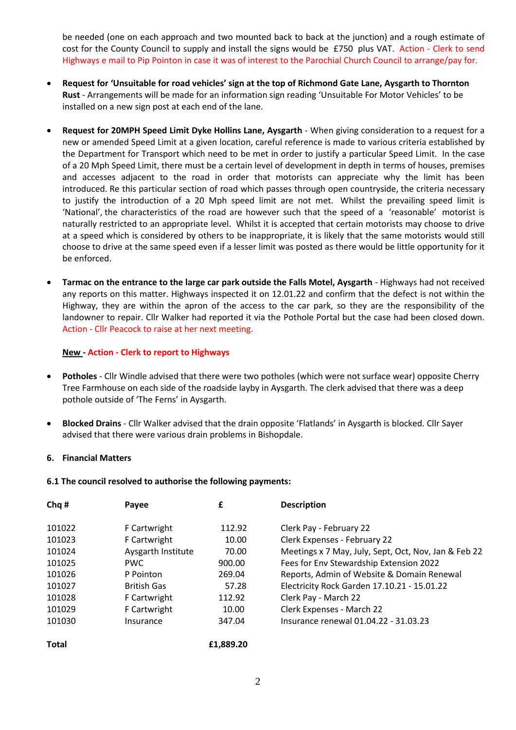be needed (one on each approach and two mounted back to back at the junction) and a rough estimate of cost for the County Council to supply and install the signs would be £750 plus VAT. Action - Clerk to send Highways e mail to Pip Pointon in case it was of interest to the Parochial Church Council to arrange/pay for.

- **Request for 'Unsuitable for road vehicles' sign at the top of Richmond Gate Lane, Aysgarth to Thornton Rust** - Arrangements will be made for an information sign reading 'Unsuitable For Motor Vehicles' to be installed on a new sign post at each end of the lane.
- **Request for 20MPH Speed Limit Dyke Hollins Lane, Aysgarth** When giving consideration to a request for a new or amended Speed Limit at a given location, careful reference is made to various criteria established by the Department for Transport which need to be met in order to justify a particular Speed Limit. In the case of a 20 Mph Speed Limit, there must be a certain level of development in depth in terms of houses, premises and accesses adjacent to the road in order that motorists can appreciate why the limit has been introduced. Re this particular section of road which passes through open countryside, the criteria necessary to justify the introduction of a 20 Mph speed limit are not met. Whilst the prevailing speed limit is 'National', the characteristics of the road are however such that the speed of a 'reasonable' motorist is naturally restricted to an appropriate level. Whilst it is accepted that certain motorists may choose to drive at a speed which is considered by others to be inappropriate, it is likely that the same motorists would still choose to drive at the same speed even if a lesser limit was posted as there would be little opportunity for it be enforced.
- **Tarmac on the entrance to the large car park outside the Falls Motel, Aysgarth** Highways had not received any reports on this matter. Highways inspected it on 12.01.22 and confirm that the defect is not within the Highway, they are within the apron of the access to the car park, so they are the responsibility of the landowner to repair. Cllr Walker had reported it via the Pothole Portal but the case had been closed down. Action - Cllr Peacock to raise at her next meeting.

### **New - Action - Clerk to report to Highways**

- **Potholes**  Cllr Windle advised that there were two potholes (which were not surface wear) opposite Cherry Tree Farmhouse on each side of the roadside layby in Aysgarth. The clerk advised that there was a deep pothole outside of 'The Ferns' in Aysgarth.
- **Blocked Drains** Cllr Walker advised that the drain opposite 'Flatlands' in Aysgarth is blocked. Cllr Sayer advised that there were various drain problems in Bishopdale.

### **6. Financial Matters**

### **6.1 The council resolved to authorise the following payments:**

| Chq#         | Payee              | £         | <b>Description</b>                                   |
|--------------|--------------------|-----------|------------------------------------------------------|
| 101022       | F Cartwright       | 112.92    | Clerk Pay - February 22                              |
| 101023       | F Cartwright       | 10.00     | Clerk Expenses - February 22                         |
| 101024       | Aysgarth Institute | 70.00     | Meetings x 7 May, July, Sept, Oct, Nov, Jan & Feb 22 |
| 101025       | <b>PWC</b>         | 900.00    | Fees for Env Stewardship Extension 2022              |
| 101026       | P Pointon          | 269.04    | Reports, Admin of Website & Domain Renewal           |
| 101027       | <b>British Gas</b> | 57.28     | Electricity Rock Garden 17.10.21 - 15.01.22          |
| 101028       | F Cartwright       | 112.92    | Clerk Pay - March 22                                 |
| 101029       | F Cartwright       | 10.00     | Clerk Expenses - March 22                            |
| 101030       | Insurance          | 347.04    | Insurance renewal 01.04.22 - 31.03.23                |
| <b>Total</b> |                    | £1,889.20 |                                                      |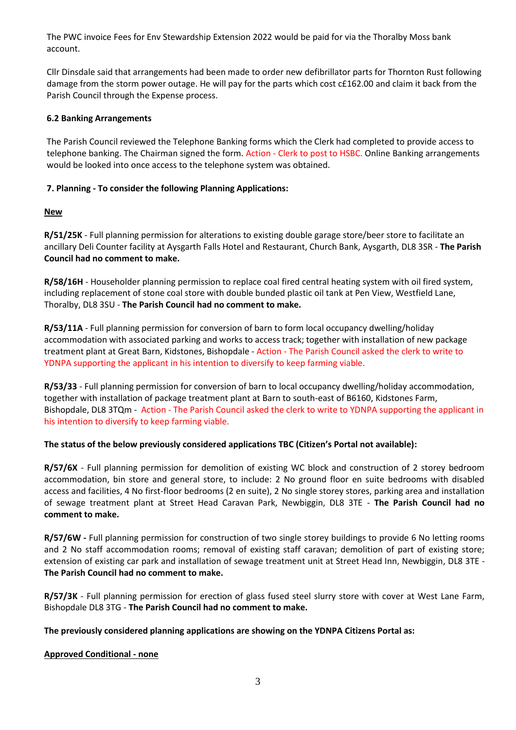The PWC invoice Fees for Env Stewardship Extension 2022 would be paid for via the Thoralby Moss bank account.

Cllr Dinsdale said that arrangements had been made to order new defibrillator parts for Thornton Rust following damage from the storm power outage. He will pay for the parts which cost c£162.00 and claim it back from the Parish Council through the Expense process.

## **6.2 Banking Arrangements**

The Parish Council reviewed the Telephone Banking forms which the Clerk had completed to provide access to telephone banking. The Chairman signed the form. Action - Clerk to post to HSBC. Online Banking arrangements would be looked into once access to the telephone system was obtained.

# **7. Planning - To consider the following Planning Applications:**

# **New**

**R/51/25K** - Full planning permission for alterations to existing double garage store/beer store to facilitate an ancillary Deli Counter facility at Aysgarth Falls Hotel and Restaurant, Church Bank, Aysgarth, DL8 3SR - **The Parish Council had no comment to make.**

**R/58/16H** - Householder planning permission to replace coal fired central heating system with oil fired system, including replacement of stone coal store with double bunded plastic oil tank at Pen View, Westfield Lane, Thoralby, DL8 3SU - **The Parish Council had no comment to make.**

**R/53/11A** - Full planning permission for conversion of barn to form local occupancy dwelling/holiday accommodation with associated parking and works to access track; together with installation of new package treatment plant at Great Barn, Kidstones, Bishopdale - Action - The Parish Council asked the clerk to write to YDNPA supporting the applicant in his intention to diversify to keep farming viable.

**R/53/33** - Full planning permission for conversion of barn to local occupancy dwelling/holiday accommodation, together with installation of package treatment plant at Barn to south-east of B6160, Kidstones Farm, Bishopdale, DL8 3TQm - Action - The Parish Council asked the clerk to write to YDNPA supporting the applicant in his intention to diversify to keep farming viable.

# **The status of the below previously considered applications TBC (Citizen's Portal not available):**

**R/57/6X** - Full planning permission for demolition of existing WC block and construction of 2 storey bedroom accommodation, bin store and general store, to include: 2 No ground floor en suite bedrooms with disabled access and facilities, 4 No first-floor bedrooms (2 en suite), 2 No single storey stores, parking area and installation of sewage treatment plant at Street Head Caravan Park, Newbiggin, DL8 3TE - **The Parish Council had no comment to make.**

**R/57/6W -** Full planning permission for construction of two single storey buildings to provide 6 No letting rooms and 2 No staff accommodation rooms; removal of existing staff caravan; demolition of part of existing store; extension of existing car park and installation of sewage treatment unit at Street Head Inn, Newbiggin, DL8 3TE - **The Parish Council had no comment to make.**

**R/57/3K** - Full planning permission for erection of glass fused steel slurry store with cover at West Lane Farm, Bishopdale DL8 3TG - **The Parish Council had no comment to make.**

# **The previously considered planning applications are showing on the YDNPA Citizens Portal as:**

### **Approved Conditional - none**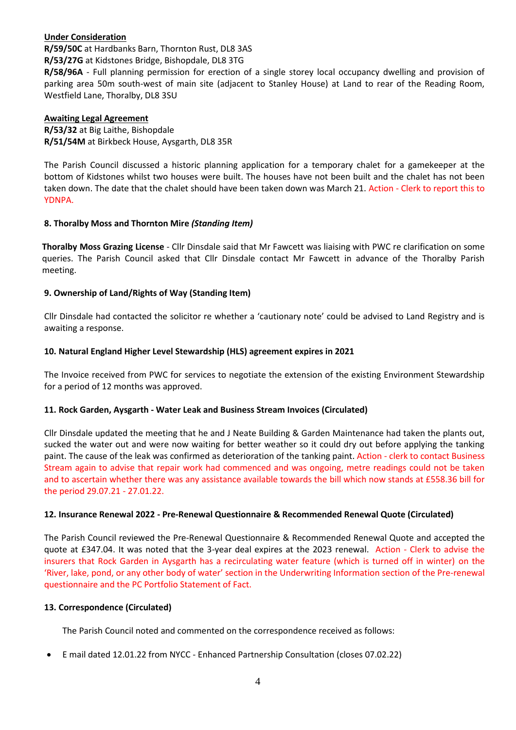## **Under Consideration**

**R/59/50C** at Hardbanks Barn, Thornton Rust, DL8 3AS

**R/53/27G** at Kidstones Bridge, Bishopdale, DL8 3TG

**R/58/96A** - Full planning permission for erection of a single storey local occupancy dwelling and provision of parking area 50m south-west of main site (adjacent to Stanley House) at Land to rear of the Reading Room, Westfield Lane, Thoralby, DL8 3SU

## **Awaiting Legal Agreement**

**R/53/32** at Big Laithe, Bishopdale **R/51/54M** at Birkbeck House, Aysgarth, DL8 35R

The Parish Council discussed a historic planning application for a temporary chalet for a gamekeeper at the bottom of Kidstones whilst two houses were built. The houses have not been built and the chalet has not been taken down. The date that the chalet should have been taken down was March 21. Action - Clerk to report this to YDNPA.

# **8. Thoralby Moss and Thornton Mire** *(Standing Item)*

**Thoralby Moss Grazing License** - Cllr Dinsdale said that Mr Fawcett was liaising with PWC re clarification on some queries. The Parish Council asked that Cllr Dinsdale contact Mr Fawcett in advance of the Thoralby Parish meeting.

# **9. Ownership of Land/Rights of Way (Standing Item)**

Cllr Dinsdale had contacted the solicitor re whether a 'cautionary note' could be advised to Land Registry and is awaiting a response.

## **10. Natural England Higher Level Stewardship (HLS) agreement expires in 2021**

The Invoice received from PWC for services to negotiate the extension of the existing Environment Stewardship for a period of 12 months was approved.

# **11. Rock Garden, Aysgarth - Water Leak and Business Stream Invoices (Circulated)**

Cllr Dinsdale updated the meeting that he and J Neate Building & Garden Maintenance had taken the plants out, sucked the water out and were now waiting for better weather so it could dry out before applying the tanking paint. The cause of the leak was confirmed as deterioration of the tanking paint. Action - clerk to contact Business Stream again to advise that repair work had commenced and was ongoing, metre readings could not be taken and to ascertain whether there was any assistance available towards the bill which now stands at £558.36 bill for the period 29.07.21 - 27.01.22.

# **12. Insurance Renewal 2022 - Pre-Renewal Questionnaire & Recommended Renewal Quote (Circulated)**

The Parish Council reviewed the Pre-Renewal Questionnaire & Recommended Renewal Quote and accepted the quote at £347.04. It was noted that the 3-year deal expires at the 2023 renewal. Action - Clerk to advise the insurers that Rock Garden in Aysgarth has a recirculating water feature (which is turned off in winter) on the 'River, lake, pond, or any other body of water' section in the Underwriting Information section of the Pre-renewal questionnaire and the PC Portfolio Statement of Fact.

### **13. Correspondence (Circulated)**

The Parish Council noted and commented on the correspondence received as follows:

E mail dated 12.01.22 from NYCC - Enhanced Partnership Consultation (closes 07.02.22)